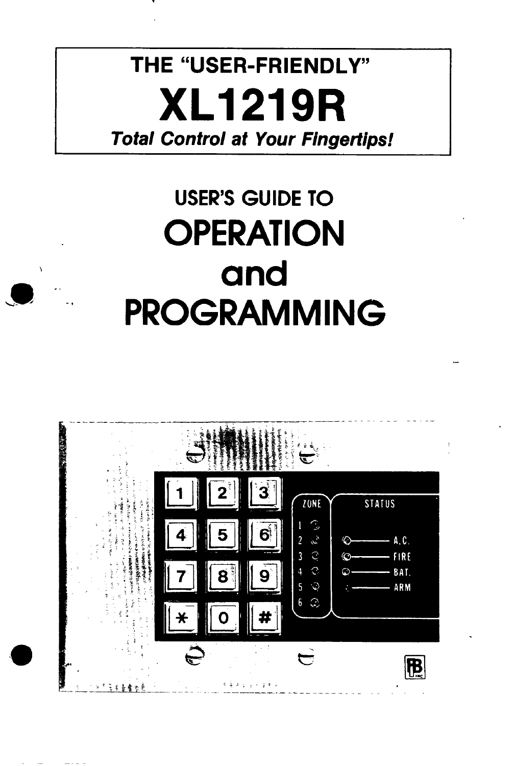# **THE "USER-FRIENDLY" XL1219R Total Control at Your Fingertips!**

# **USER'S GUIDE TO OPERATION** and **PROGRAMMING**



 $\frac{1}{2} \frac{1}{2} \left( \frac{1}{2} \right) \frac{1}{2} \left( \frac{1}{2} \right) \frac{1}{2} \left( \frac{1}{2} \right) \frac{1}{2} \left( \frac{1}{2} \right) \frac{1}{2} \left( \frac{1}{2} \right) \frac{1}{2} \left( \frac{1}{2} \right) \frac{1}{2} \left( \frac{1}{2} \right) \frac{1}{2} \left( \frac{1}{2} \right) \frac{1}{2} \left( \frac{1}{2} \right) \frac{1}{2} \left( \frac{1}{2} \right) \frac{1}{2} \left( \frac{$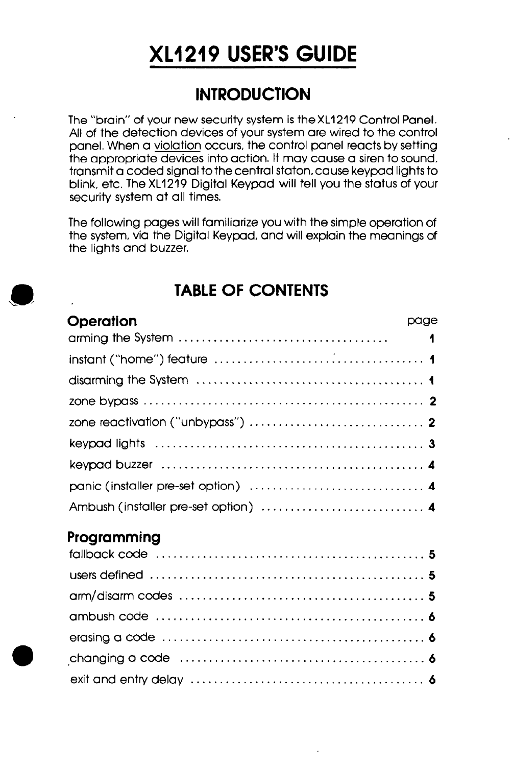## XL1219 USER'S GUIDE

## **INTRODUCTION**

The "brain" of your new security system is theXL1219 Control Panel. All of the detection devices of your system are wired to the control panel. When a violation occurs, the control panel reacts by setting the appropriate devices into action. It may cause a siren to sound, transmit a coded signal to the central staton, cause keypad lights to blink, etc. The XL1219 Digital Keypad will tell you the status of your security system at all times.

The following pages will familiarize you with the simple operation of the system, via the Digital Keypad, and will explain the meanings of the lights and buzzer.

#### TABLE OF CONTENTS

| Operation                                                                                | page |   |
|------------------------------------------------------------------------------------------|------|---|
|                                                                                          |      | 1 |
|                                                                                          |      |   |
|                                                                                          |      |   |
|                                                                                          |      |   |
| zone reactivation ("unbypass") $\ldots \ldots \ldots \ldots \ldots \ldots \ldots \ldots$ |      |   |
|                                                                                          |      |   |
|                                                                                          |      |   |
|                                                                                          |      |   |
| Ambush (installer pre-set option)  4                                                     |      |   |
| Programming                                                                              |      |   |
|                                                                                          |      |   |
|                                                                                          |      |   |
|                                                                                          |      |   |
|                                                                                          |      |   |
|                                                                                          |      |   |
|                                                                                          |      |   |
|                                                                                          |      |   |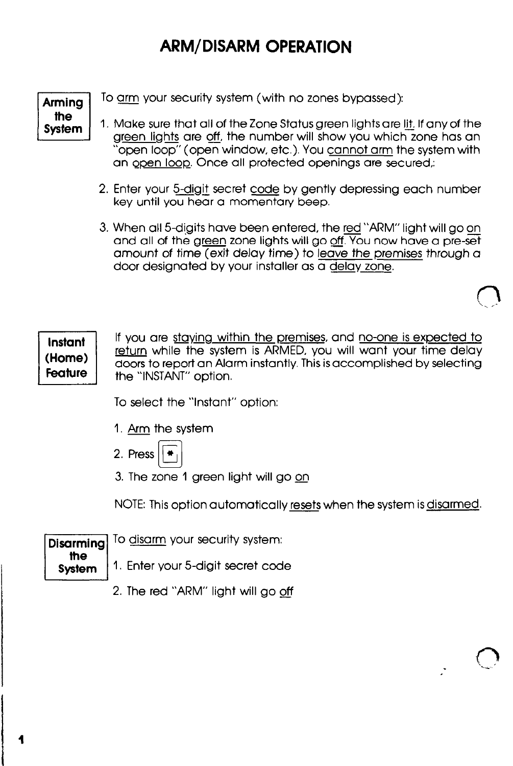## ARM/DISARM OPERATION

Arming the System

To arm your security system (with no zones bypassed):

- 1. Make sure that all of the Zone Status green lights are lit. If any of the green lights are off, the number will show you which zone has an open loop" (open window, etc.). You cannot arm the system with an ooen loop. Once all protected openings are secured,:
- 2. Enter your 5-digit secret code by gently depressing each number key until you hear a momentary beep.
- 3. When all 5-digits have been entered, the red "ARM" light will go on and all of the green zone lights will go off. You now have a pre-set amount of time (exit delay time) to leave the premises through a door designated by your installer as a delav zone.

Instant (Home) **Feature** 

> the **System**

If you are staving within the premises, and no-one is expected to return while the system is ARMED, you will want your time delay doors to report an Alarm instantly. This is accomplished by selecting the "INSTANT" option.

To select the "Instant" option:

- 1. Arm the system
- 2. Press b کا
- 3. The zone 1 green light will go on

NOTE: This option automatically <u>resets</u> when the system is <u>disarmed</u>.<br>To <u>disarm</u> your security system:

Disarming

1. Enter your 5-digit secret code

2. The red "ARM" light will go off

 $\vert$ 

I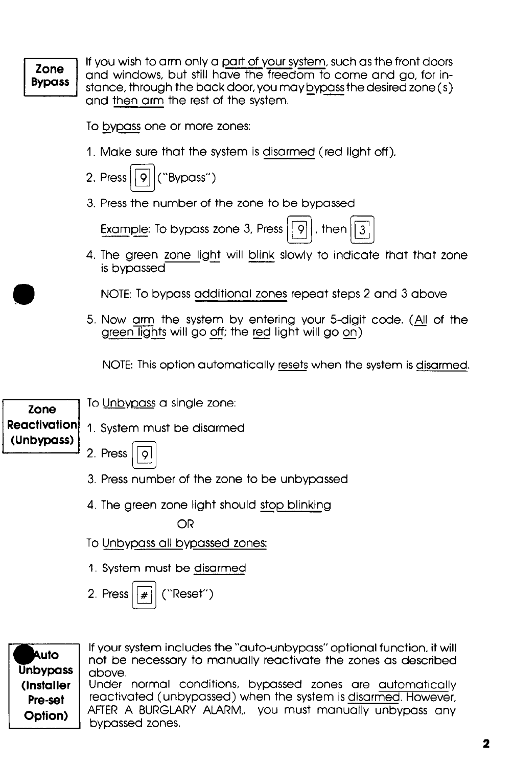#### Zone **Bypass**

If you wish to arm only a part of your system, such as the front doors and windows, but still have the freedom to come and go, for instance, through the back door, you may bypass the desired zone (s) and then arm the rest of the system.

To bypass one or more zones:

- I. Make sure that the system is disarmed (red light off),
- 2. Press  $\overline{q}$  ("Bypass") تا
- 3. Press the number of the zone to be bypassed

Example: To bypass zone 3, Press  $||9||$ , then

4. The green zone light will blink slowly to indicate that that zone is bypassed

NOTE: To bypass additional zones repeat steps 2 and 3 above

5. Now arm the system by entering your 5-digit code. (All of the g<u>reen lights</u> will go <u>off</u>; the <u>red</u> light will go <u>on)</u> - -

NOTE: This option automatically resets when the system is disarmed.

#### Zone **Reactivation** (Unbypass)

2. Press

- 3. Press number of the zone to be unbypassed
- 4. The green zone light should stop blinking

OR

- To Unbypass all bypassed zones:
- 1. System must be disarmed

To Unbypass a single zone:

I, System must be disarmed

2. Press  $||$  # "Reset")

Auto **Unbypass** (Installer Pre-set Option)

If your system includes the "auto-unbypass" optional function, it will not be necessary to manually reactivate the zones as described above.

Under normal conditions, bypassed zones are automatically reactivated (unbypassed) when the system is disarmed. However, AFTER A BURGLARY ALARM,, you must manually unbypass any bypassed zones.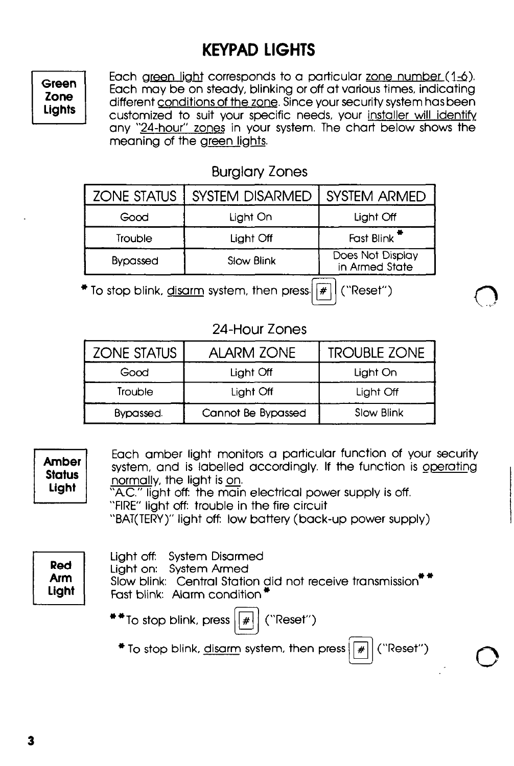## KEYPAD LIGHTS

Green Zone Lights Each green light corresponds to a particular zone number (1-6). Each may be on steady, blinking or off at various times, indicating different conditions of the zone. Since your security system has been customized to suit your specific needs, your installer will identify any "24-hour" zones in your system. The chart below shows the meaning of the green lights.

 $\bigcirc$  .

#### Burglary Zones

| <b>ZONE STATUS</b> | <b>SYSTEM DISARMED</b> | SYSTEM ARMED                       |  |  |
|--------------------|------------------------|------------------------------------|--|--|
| Good               | Light On               | Light Off                          |  |  |
| Trouble            | Light Off              | Fast Blink <sup>**</sup>           |  |  |
| <b>Bypassed</b>    | Slow Blink             | Does Not Display<br>in Armed State |  |  |
|                    |                        |                                    |  |  |

 $*$  To stop blink, disarm system, then press.  $\boxed{*}$  ("Reset")

#### 24-Hour Zones

| <b>ZONE STATUS</b> | <b>ALARM ZONE</b>  | <b>TROUBLE ZONE</b> |
|--------------------|--------------------|---------------------|
| Good               | Light Off          | Light On            |
| Trouble            | Light Off          | Light Off           |
| Bypassed.          | Cannot Be Bypassed | Slow Blink          |

| <b>Amber</b><br><b>Status</b><br>Light | Each amber light monitors a particular function of your security<br>system, and is labelled accordingly. If the function is operating<br>normally, the light is on.<br>"A.C." light off: the main electrical power supply is off.<br>"FIRE" light off: trouble in the fire circuit<br>"BAT(TERY)" light off: low battery (back-up power supply) |  |
|----------------------------------------|-------------------------------------------------------------------------------------------------------------------------------------------------------------------------------------------------------------------------------------------------------------------------------------------------------------------------------------------------|--|
| Red<br><b>Arm</b><br>Light             | Light off: System Disarmed<br>Light on: System Armed<br>Slow blink: Central Station did not receive transmission <sup>**</sup><br>Fast blink: Alarm condition <sup>*</sup><br>$**$ To stop blink, press $ \mathcal{F} $<br>("Reset")<br>$*$ To stop blink, disarm system, then press $\left  \frac{1}{2} \right $<br>("Reset")                  |  |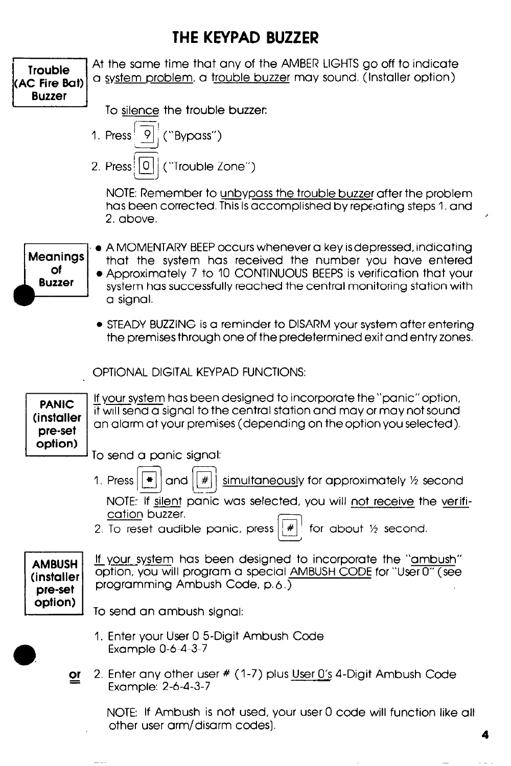### THE KEYPAD BUZZER



4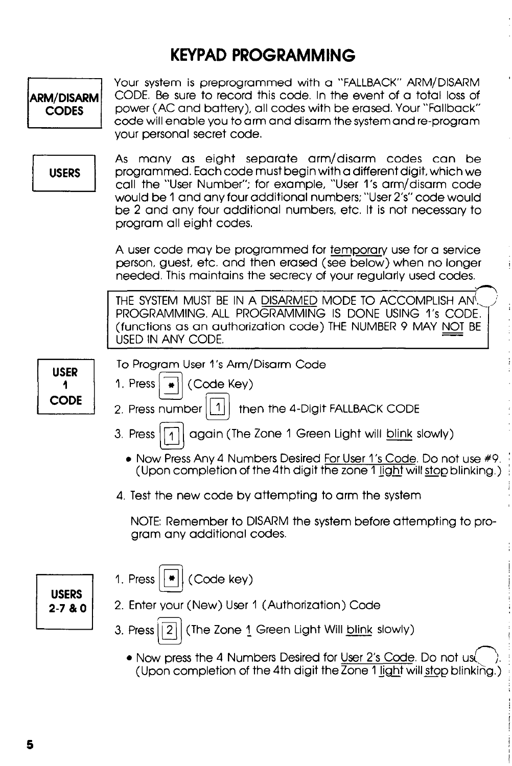## KEYPAD PROGRAMMING



• Now press the 4 Numbers Desired for User 2's Code. Do not us (Upon completion of the 4th digit the  $\overline{Z}$ one 1 light will stop blinking.)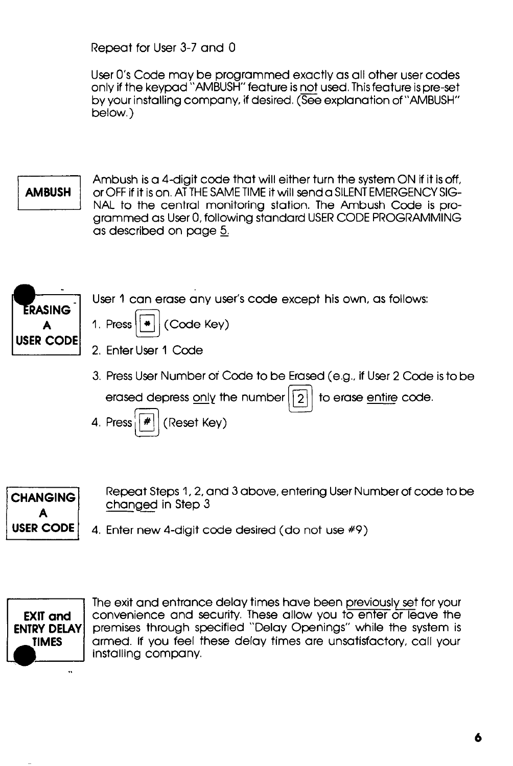Repeat for User 3-7 and 0

User O's Code may be programmed exactly as all other user codes only if the keypad "AMBUSH" feature is not used. This feature is pre-set by your installing company, if desired. (See explanation of "AMBUSH" below.)

#### **AMBUSH**

Ambush is a 4-digit code that will either turn the system ON if it is off, or OFF if it is on. AT THE SAME TIME it will send a SILENT EMERGENCY SIG-NAL to the central monitoring station. The Ambush Code is programmed as User 0, following standard USER CODE PROGRAMMING as described on page 5



User 1 can erase any user's code except his own, as follows:

- 1. Press  $||\cdot||$  (Code Key)
- 2. Enter User 1 Code
- 3. Press User Number of Code to be Erased (e.g., if User 2 Code is to be

erased depress only the number  $\lfloor 2 \rfloor$  to erase entire code.





CHANGING<br>
Repeat Steps 1, 2, and 3 above, entering User Number of code to be<br>
CODE<br>
4 Feter new 4 digit code desired (de net use #0)

**USER CODE**  $\vert$  4. Enter new 4-digit code desired (do not use  $\#9$ )



The exit and entrance delay times have been previously set for your convenience and security. These allow you to enter or leave the premises through specified "Delay Openings" while the system is armed. If you feel these delay times are unsatisfactory, call your installing company.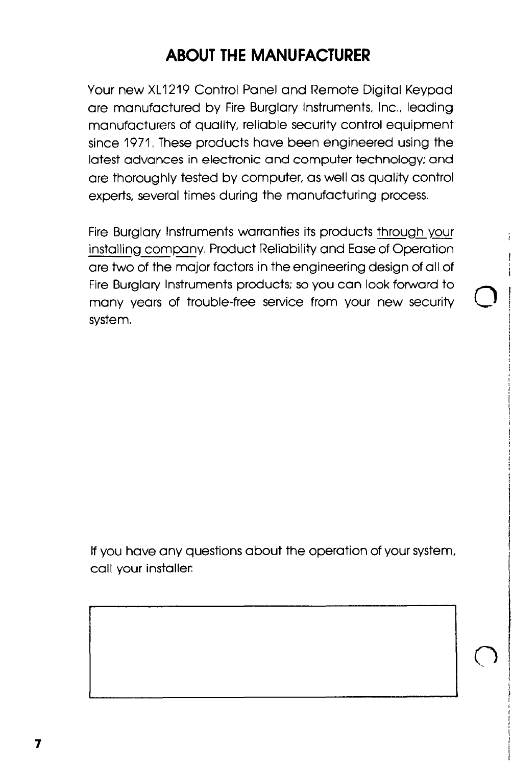## ABOUT THE MANUFACTURER

Your new XL1219 Control Panel and Remote Digital Keypad are manufactured by Fire Burglary Instruments, Inc., leading manufacturers of quality, reliable security control equipment since 1971. These products have been engineered using the latest advances in electronic and computer technology; and are thoroughly tested by computer, as well as quality control experts, several times during the manufacturing process.

Fire Burglary Instruments warranties its products through your installing company. Product Reliability and Ease of Operation are two of the major factors in the engineering design of all of Fire Burglary Instruments products; so you can look forward to many years of trouble-free service from your new security system.

i

i

8 I

i f

I

1

 $\mathcal{L}$ 

If you have any questions about the operation of your system, call your installer.